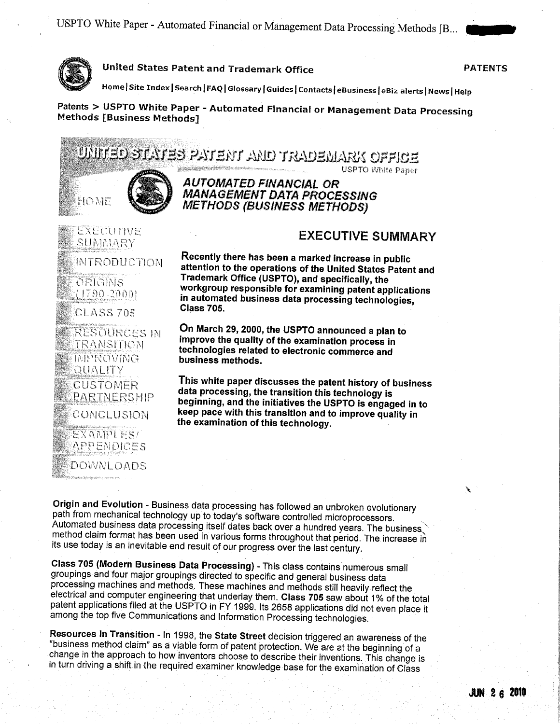

United States Patent and Trademark Office **PATENTS** 

Home | Site Index | Search | FAQ | Glossary | Guides | Contacts | eBusiness | eBiz alerts | News | Help

Patents > USPTO White Paper - Automated Financial or Management Data Processing Methods (Business Methods)

 $\rm \overline{D}$ litel $\rm \overline{D}$  of  $\rm \overline{D}$  is  $\rm \overline{D}$  in  $\rm \overline{D}$  in and trademark of Fice



EXECUTIVE



## AUTOMATED FlNANC1AL OR MANAGEMENT DATA PROCESSING METHODS (BUSINESS METHODS)

SUMMARY INTRODUCTION ORIGINS  $(1790.2000)$ CLASS 705 RESOURCES IN TRANSITION IMPROVING QUALITY CUSTOMER PARTNERSHIP CONCLUSION EXAMPI ESI APPENDICES

DOWNLOADS

## EXECUTIVE SUMMARY

**USPTO White Paper** 

Recently there has been a marked increase in public attention to the operations of the United States Patent and Trademark Office (USPTO), and specifically, the workgroup responsible for examining patent applications in automated business data processing technologies, Class 705.

On March 29, 2000, the USPTO announced a plan to improve the quality of the examination process in technologies related to electronic commerce and business methods.

This white paper discusses the patent history of business data processing, the transition this technology is beginning, and the initiatives the USPTO is engaged in to keep pace with this transition and to improve quality in the examination of this technology.

Origin and Evolution - Business data processing has followed an unbroken evolutionary path from mechanical technology up to today's software controlled microprocessors. Automated business data processing itself dates back over a hundred years. The business method claim format has been used in various forms throughout that period. The increase in its use today is an inevitable end result of our progress over the last century.

Class 705 (Modern Business Data Processing) - This class contains numerous small groupings and four major groupings directed to specific and general business data electrical and computer engineering that underlay them. Class 705 saw about 1% of the total patent applications filed at the USPTO in FY 1999. Its 2658 applications did not even place it among the top five Communications and Information Processing technologies.

Resources In Transition - In 1998, the State Street decision triggered an awareness of the "business method claim" as a viable form of patent protection. We are at the beginning of a change in the approach to how inventors choose to describe their inventions. This change is in turn driving a shift in the required examiner knowledge base for the examination of Class

.1 i

"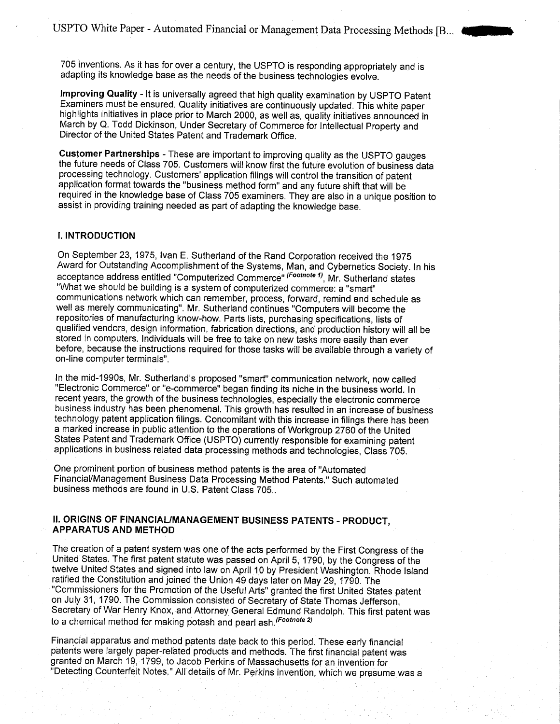705 inventions. As it has for over a century, the USPTO is responding appropriately and is adapting its knowledge base as the needs of the business technologies evolve.

Improving Quality - It is universally agreed that high quality examination by USPTO Patent Examiners must be ensured. Quality initiatives are continuously updated. This white paper highlights initiatives in place prior to March 2000, as well as, quality initiatives announced in March by Q. Todd Dickinson, Under Secretary of Commerce for Intellectual Property and Director of the United States Patent and Trademark Office.

Customer Partnerships - These are important to improving quality as the USPTO gauges the future needs of Class 705. Customers will know first the future evolution of business data processing technology. Customers' application filings will control the transition of patent application format towards the "business method form" and any future shift that will be required in the knowledge base of Class 705 examiners. They are also in a unique position to assist in providing training needed as part of adapting the knowledge base.

#### I. INTRODUCTION

On September 23, 1975, Ivan E. Sutherland of the Rand Corporation received the 1975 Award for Outstanding Accomplishment of the Systems, Man, and Cybernetics Society. In his acceptance address entitled "Computerized Commerce" (Footnote 1), Mr. Sutherland states "What we should be building is a system of computerized commerce: a "smart" communications network which can remember, process, forward, remind and schedule as well as merely communicating". Mr. Sutherland continues "Computers will become the repositories of manufacturing know-how. Parts lists, purchasing specifications, lists of qualified vendors, design information, fabrication directions, and production history will all be stored in computers. Individuals will be free to take on new tasks more easily than ever before, because the instructions required for those tasks will be available through a variety of on-line computer terminals".

In the mid-1990s, Mr. Sutherland's proposed "smart" communication network, now called "Electronic Commerce" or "e-commerce" began finding its niche in the business world. In recent years, the growth of the business technologies, especially the electronic commerce business industry has been phenomenal. This growth has resulted in an increase of business technology patent application filings. Concomitant with this increase in filings there has been a marked increase in public attention to the operations of Workgroup 2760 of the United States Patent and Trademark Office (USPTO) currently responsible for examining patent applications in business related data processing methods and technologies, Class 705.

One prominent portion of business method patents is the area of "Automated Financial/Management Business Data Processing Method Patents." Such automated business methods are found in U.S. Patent Class 705,.

### II. ORIGINS OF FINANCIAL/MANAGEMENT BUSINESS PATENTS - PRODUCT, APPARATUS AND METHOD

The creation of a patent system was one of the acts performed by the First Congress of the United States. The first patent statute was passed on April 5, 1790, by the Congress of the twelve United States and signed into law on April 10 by President Washington. Rhode Island ratified the Constitution and joined the Union 49 days later on May 29, 1790. The "Commissioners for the Promotion of the Useful Arts" granted the first United States patent on July 31, 1790. The Commission consisted of Secretary of State Thomas Jefferson, Secretary of War Henry Knox, and Attorney General Edmund Randolph. This first patent was to a chemical method for making potash and pearl ash. (Footnote 2)

Financial apparatus and method patents date back to this period, These early financial patents were largely paper-related products and methods. The first financial patent was granted on March 19, 1799, to Jacob Perkins of Massachusetts for an invention for "Detecting Counterfeit Notes." All details of Mr. Perkins invention, which we presume was a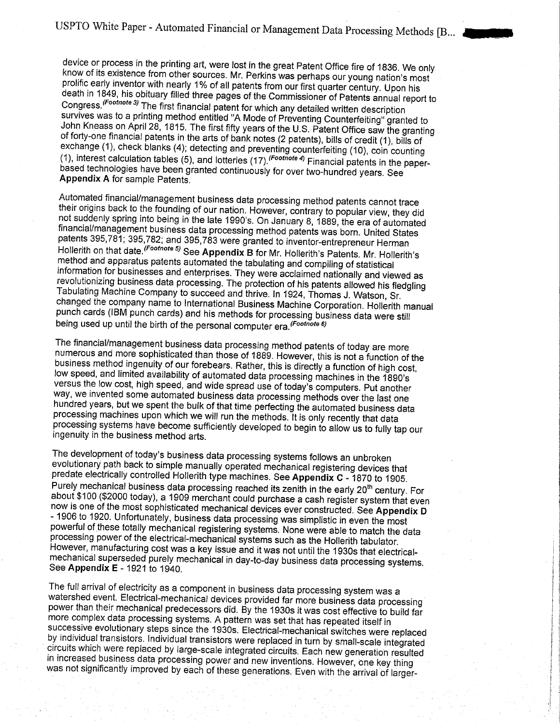device or process in the printing art, were lost in the great Patent Office fire of 1836. We only know of its existence from other sources. Mr. Perkins was perhaps our young nation's most prolific early inventor with nearly 1% of all patents from our first quarter century. Upon his death in 1849, his obituary filled three pages of the Commissioner of Patents annual report to Congress. (Footnote 3) The first financial patent for which any detailed written description survives was to a printing method entitled "A Mode of Preventing Counterfeiting" granted to John Kneass on April 28, 1815. The first fifty years of the U.S. Patent Office saw the granting of forty-one financial patents in the arts of bank notes (2 patents), bills of credit (1), bills of exchange (1), check blanks (4); detecting and preventing counterfeiting (10), coin counting (1), interest calculation tables (5), and lotteries (17). (Footnote 4) Financial patents in the paperbased technologies have been granted continuously for over two-hundred years. See Appendix A for sample Patents.

Automated financial/management business data processing method patents cannot trace their origins back to the founding of our nation. However, contrary to popular view, they did not suddenly spring into being in the late 1990's. On January 8, 1889, the era of automated financial/management business data processing method patents was born. United States patents 395,781; 395,782; and 395,783 were granted to inventor-entrepreneur Herman Hollerith on that date. (Footnote 5) See Appendix B for Mr. Hollerith's Patents. Mr. Hollerith's method and apparatus patents automated the tabulating and compiling of statistical information for businesses and enterprises. They were acclaimed nationally and viewed as revolutionizing business data processing. The protection of his patents allowed his fledgling Tabulating Machine Company to succeed and thrive. In 1924, Thomas J. Watson, Sr. changed the company name to International Business Machine Corporation. Hollerith manual punch cards (IBM punch cards) and his methods for processing business data were still being used up until the birth of the personal computer era. (Footnote 6)

The financial/management business data processing method patents of today are more numerous and more sophisticated than those of 1889. However, this is not a function of the business method ingenuity of our forebears. Rather, this is directly a function of high cost, low speed, and limited availability of automated data processing machines in the 1890's versus the low cost, high speed, and wide spread use of today's computers. Put another way, we invented some automated business data processing methods over the last one hundred years, but we spent the bulk of that time perfecting the automated business data processing machines upon which we will run the methods. It is only recently that data processing systems have become sufficiently developed to begin to allow us to fully tap our ingenuity in the business method arts.

The development of today's business data processing systems follows an unbroken evolutionary path back to simple manually operated mechanical registering devices that predate electrically controlled Hollerith type machines. See Appendix C - 1870 to 1905. Purely mechanical business data processing reached its zenith in the early 20<sup>th</sup> century. For about \$100 (\$2000 today), a 1909 merchant could purchase a cash register system that even now is one of the most sophisticated mechanical devices ever constructed. See Appendix D - 1906 to 1920. Unfortunately, business data processing was simplistic in even the most powerful of these totally mechanical registering systems. None were able to match the data processing power of the electrical-mechanical systems such as the Hollerith tabulator. However, manufacturing cost was a key issue and it was not until the 1930s that electricalmechanical superseded purely mechanical in day-to-day business data processing systems. See Appendix E - 1921 to 1940.

The full arrival of electricity as a component in business data processing system was a watershed event. Electrical-mechanical devices provided far more business data processing power than their mechanical predecessors did. By the 1930s it was cost effective to build far more complex data processing systems. A pattern was set that has repeated itself in successive evolutionary steps since the 1930s. Electrical-mechanical switches were replaced by individual transistors. Individual transistors were replaced in turn by small-scale integrated circuits which were replaced by large-scale integrated circuits. Each new generation resulted in increased business data processing power and new inventions. However, one key thing was not significantly improved by each of these generations. Even with the arrival of larger-